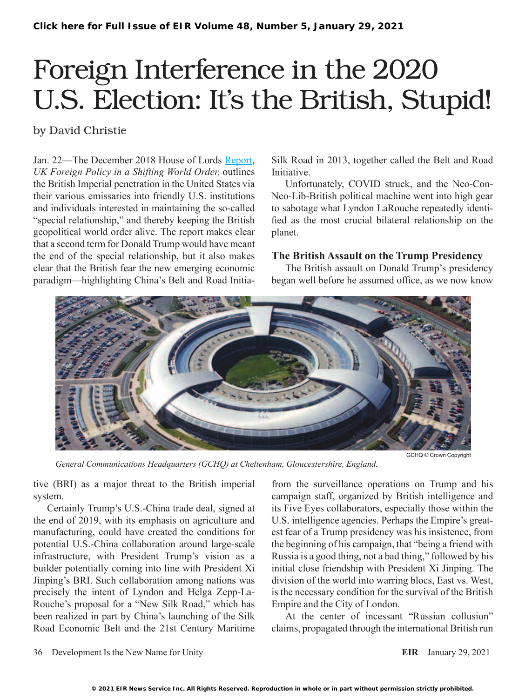# Foreign Interference in the 2020 U.S. Election: It's the British, Stupid!

## by David Christie

Jan. 22—The December 2018 House of Lords [Report](https://publications.parliament.uk/pa/ld201719/ldselect/ldintrel/250/250.pdf), *UK Foreign Policy in a Shifting World Order,* outlines the British Imperial penetration in the United States via their various emissaries into friendly U.S. institutions and individuals interested in maintaining the so-called "special relationship," and thereby keeping the British geopolitical world order alive. The report makes clear that a second term for Donald Trump would have meant the end of the special relationship, but it also makes clear that the British fear the new emerging economic paradigm—highlighting China's Belt and Road InitiaSilk Road in 2013, together called the Belt and Road **Initiative** 

Unfortunately, COVID struck, and the Neo-Con-Neo-Lib-British political machine went into high gear to sabotage what Lyndon LaRouche repeatedly identified as the most crucial bilateral relationship on the planet.

#### **The British Assault on the Trump Presidency**

The British assault on Donald Trump's presidency began well before he assumed office, as we now know



*General Communications Headquarters (GCHQ) at Cheltenham, Gloucestershire, England.*

tive (BRI) as a major threat to the British imperial system.

Certainly Trump's U.S.-China trade deal, signed at the end of 2019, with its emphasis on agriculture and manufacturing, could have created the conditions for potential U.S.-China collaboration around large-scale infrastructure, with President Trump's vision as a builder potentially coming into line with President Xi Jinping's BRI. Such collaboration among nations was precisely the intent of Lyndon and Helga Zepp-La-Rouche's proposal for a "New Silk Road," which has been realized in part by China's launching of the Silk Road Economic Belt and the 21st Century Maritime

from the surveillance operations on Trump and his campaign staff, organized by British intelligence and its Five Eyes collaborators, especially those within the U.S. intelligence agencies. Perhaps the Empire's greatest fear of a Trump presidency was his insistence, from the beginning of his campaign, that "being a friend with Russia is a good thing, not a bad thing," followed by his initial close friendship with President Xi Jinping. The division of the world into warring blocs, East vs. West, is the necessary condition for the survival of the British Empire and the City of London.

At the center of incessant "Russian collusion" claims, propagated through the international British run

36 Development Is the New Name for Unity **EIR** January 29, 2021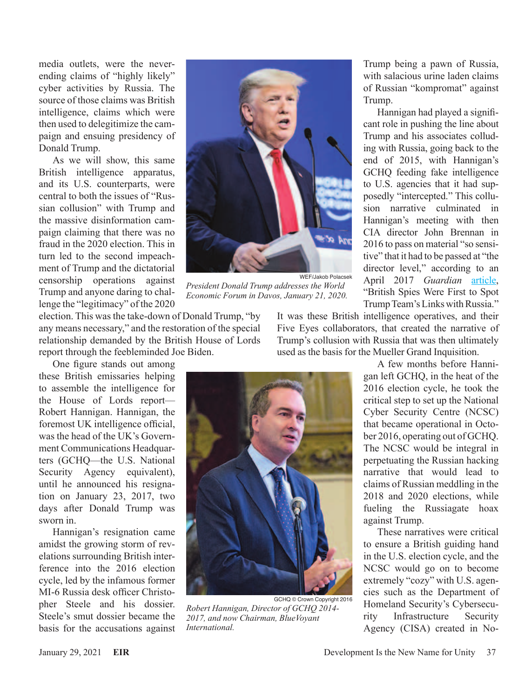media outlets, were the neverending claims of "highly likely" cyber activities by Russia. The source of those claims was British intelligence, claims which were then used to delegitimize the campaign and ensuing presidency of Donald Trump.

As we will show, this same British intelligence apparatus, and its U.S. counterparts, were central to both the issues of "Russian collusion" with Trump and the massive disinformation campaign claiming that there was no fraud in the 2020 election. This in turn led to the second impeachment of Trump and the dictatorial censorship operations against Trump and anyone daring to challenge the "legitimacy" of the 2020



*President Donald Trump addresses the World Economic Forum in Davos, January 21, 2020.*

sion narrative culminated in Hannigan's meeting with then CIA director John Brennan in 2016 to pass on material "so sensitive" that it had to be passed at "the director level," according to an April 2017 *Guardian* [article](https://www.theguardian.com/uk-news/2017/apr/13/british-spies-first-to-spot-trump-team-links-russia), "British Spies Were First to Spot Trump Team's Links with Russia." WEF/Jakob Polacsek

Trump being a pawn of Russia, with salacious urine laden claims of Russian "kompromat" against

Hannigan had played a significant role in pushing the line about Trump and his associates colluding with Russia, going back to the end of 2015, with Hannigan's GCHQ feeding fake intelligence to U.S. agencies that it had supposedly "intercepted." This collu-

election. This was the take-down of Donald Trump, "by any means necessary," and the restoration of the special relationship demanded by the British House of Lords report through the feebleminded Joe Biden.

One figure stands out among these British emissaries helping to assemble the intelligence for the House of Lords report— Robert Hannigan. Hannigan, the foremost UK intelligence official, was the head of the UK's Government Communications Headquarters (GCHQ—the U.S. National Security Agency equivalent), until he announced his resignation on January 23, 2017, two days after Donald Trump was sworn in.

Hannigan's resignation came amidst the growing storm of revelations surrounding British interference into the 2016 election cycle, led by the infamous former MI-6 Russia desk officer Christopher Steele and his dossier. Steele's smut dossier became the basis for the accusations against It was these British intelligence operatives, and their Five Eyes collaborators, that created the narrative of Trump's collusion with Russia that was then ultimately used as the basis for the Mueller Grand Inquisition.

Trump.



GCHQ © Crown Copyright 2016 *Robert Hannigan, Director of GCHQ 2014- 2017, and now Chairman, BlueVoyant International.*

A few months before Hannigan left GCHQ, in the heat of the 2016 election cycle, he took the critical step to set up the National Cyber Security Centre (NCSC) that became operational in October 2016, operating out of GCHQ. The NCSC would be integral in perpetuating the Russian hacking narrative that would lead to claims of Russian meddling in the 2018 and 2020 elections, while fueling the Russiagate hoax against Trump.

These narratives were critical to ensure a British guiding hand in the U.S. election cycle, and the NCSC would go on to become extremely "cozy" with U.S. agencies such as the Department of Homeland Security's Cybersecurity Infrastructure Security Agency (CISA) created in No-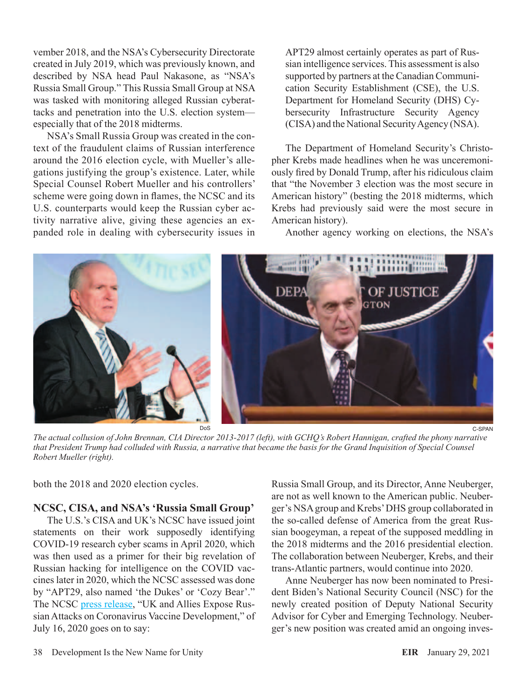vember 2018, and the NSA's Cybersecurity Directorate created in July 2019, which was previously known, and described by NSA head Paul Nakasone, as "NSA's Russia Small Group." This Russia Small Group at NSA was tasked with monitoring alleged Russian cyberattacks and penetration into the U.S. election system especially that of the 2018 midterms.

NSA's Small Russia Group was created in the context of the fraudulent claims of Russian interference around the 2016 election cycle, with Mueller's allegations justifying the group's existence. Later, while Special Counsel Robert Mueller and his controllers' scheme were going down in flames, the NCSC and its U.S. counterparts would keep the Russian cyber activity narrative alive, giving these agencies an expanded role in dealing with cybersecurity issues in

APT29 almost certainly operates as part of Russian intelligence services. This assessment is also supported by partners at the Canadian Communication Security Establishment (CSE), the U.S. Department for Homeland Security (DHS) Cybersecurity Infrastructure Security Agency (CISA) and the National Security Agency (NSA).

The Department of Homeland Security's Christopher Krebs made headlines when he was unceremoniously fired by Donald Trump, after his ridiculous claim that "the November 3 election was the most secure in American history" (besting the 2018 midterms, which Krebs had previously said were the most secure in American history).

Another agency working on elections, the NSA's



*The actual collusion of John Brennan, CIA Director 2013-2017 (left), with GCHQ's Robert Hannigan, crafted the phony narrative that President Trump had colluded with Russia, a narrative that became the basis for the Grand Inquisition of Special Counsel Robert Mueller (right).*

both the 2018 and 2020 election cycles.

#### **NCSC, CISA, and NSA's 'Russia Small Group'**

The U.S.'s CISA and UK's NCSC have issued joint statements on their work supposedly identifying COVID-19 research cyber scams in April 2020, which was then used as a primer for their big revelation of Russian hacking for intelligence on the COVID vaccines later in 2020, which the NCSC assessed was done by "APT29, also named 'the Dukes' or 'Cozy Bear'." The NCSC [press release,](https://www.ncsc.gov.uk/news/uk-and-allies-expose-russian-attacks-on-coronavirus-vaccine-development) "UK and Allies Expose Russian Attacks on Coronavirus Vaccine Development," of July 16, 2020 goes on to say:

Russia Small Group, and its Director, Anne Neuberger, are not as well known to the American public. Neuberger's NSA group and Krebs' DHS group collaborated in the so-called defense of America from the great Russian boogeyman, a repeat of the supposed meddling in the 2018 midterms and the 2016 presidential election. The collaboration between Neuberger, Krebs, and their trans-Atlantic partners, would continue into 2020.

Anne Neuberger has now been nominated to President Biden's National Security Council (NSC) for the newly created position of Deputy National Security Advisor for Cyber and Emerging Technology. Neuberger's new position was created amid an ongoing inves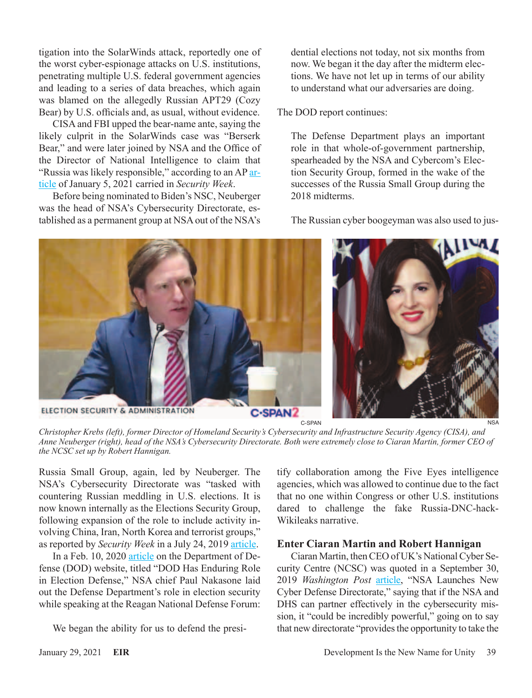tigation into the SolarWinds attack, reportedly one of the worst cyber-espionage attacks on U.S. institutions, penetrating multiple U.S. federal government agencies and leading to a series of data breaches, which again was blamed on the allegedly Russian APT29 (Cozy Bear) by U.S. officials and, as usual, without evidence.

CISA and FBI upped the bear-name ante, saying the likely culprit in the SolarWinds case was "Berserk Bear," and were later joined by NSA and the Office of the Director of National Intelligence to claim that "Russia was likely responsible," according to an AP [ar](https://www.securityweek.com/us-hack-federal-agencies-likely-russian-origin)[ticle](https://www.securityweek.com/us-hack-federal-agencies-likely-russian-origin) of January 5, 2021 carried in *Security Week*.

Before being nominated to Biden's NSC, Neuberger was the head of NSA's Cybersecurity Directorate, established as a permanent group at NSA out of the NSA's dential elections not today, not six months from now. We began it the day after the midterm elections. We have not let up in terms of our ability to understand what our adversaries are doing.

The DOD report continues:

The Defense Department plays an important role in that whole-of-government partnership, spearheaded by the NSA and Cybercom's Election Security Group, formed in the wake of the successes of the Russia Small Group during the 2018 midterms.

The Russian cyber boogeyman was also used to jus-



C-SPAN2 C-SPAN

NSA

*Christopher Krebs (left), former Director of Homeland Security's Cybersecurity and Infrastructure Security Agency (CISA), and Anne Neuberger (right), head of the NSA's Cybersecurity Directorate. Both were extremely close to Ciaran Martin, former CEO of the NCSC set up by Robert Hannigan.*

Russia Small Group, again, led by Neuberger. The NSA's Cybersecurity Directorate was "tasked with countering Russian meddling in U.S. elections. It is now known internally as the Elections Security Group, following expansion of the role to include activity involving China, Iran, North Korea and terrorist groups," as reported by *Security Week* in a July 24, 2019 [article](https://www.securityweek.com/nsa-forms-cybersecurity-directorate-redefine-cybersecurity-mission).

In a Feb. 10, 2020 [article](https://www.defense.gov/Explore/News/Article/Article/2078716/dod-has-enduring-role-in-election-defense/) on the Department of Defense (DOD) website, titled "DOD Has Enduring Role in Election Defense," NSA chief Paul Nakasone laid out the Defense Department's role in election security while speaking at the Reagan National Defense Forum:

We began the ability for us to defend the presi-

tify collaboration among the Five Eyes intelligence agencies, which was allowed to continue due to the fact that no one within Congress or other U.S. institutions dared to challenge the fake Russia-DNC-hack-Wikileaks narrative.

### **Enter Ciaran Martin and Robert Hannigan**

Ciaran Martin, then CEO of UK's National Cyber Security Centre (NCSC) was quoted in a September 30, 2019 *Washington Post* [article,](https://www.washingtonpost.com/national-security/nsa-launches-new-cyber-defense-directorate/2019/09/30/c18585f6-e219-11e9-be96-6adb81821e90_story.html) "NSA Launches New Cyber Defense Directorate," saying that if the NSA and DHS can partner effectively in the cybersecurity mission, it "could be incredibly powerful," going on to say that new directorate "provides the opportunity to take the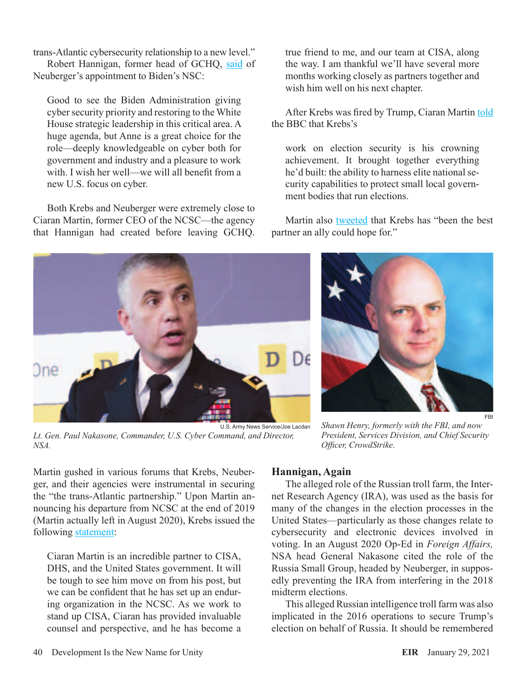trans-Atlantic cybersecurity relationship to a new level." Robert Hannigan, former head of GCHQ, [said](https://thestack.technology/nsa-anne-neuberger-biden/) of Neuberger's appointment to Biden's NSC:

Good to see the Biden Administration giving cyber security priority and restoring to the White House strategic leadership in this critical area. A huge agenda, but Anne is a great choice for the role—deeply knowledgeable on cyber both for government and industry and a pleasure to work with. I wish her well—we will all benefit from a new U.S. focus on cyber.

Both Krebs and Neuberger were extremely close to Ciaran Martin, former CEO of the NCSC—the agency that Hannigan had created before leaving GCHQ.

true friend to me, and our team at CISA, along the way. I am thankful we'll have several more months working closely as partners together and wish him well on his next chapter.

After Krebs was fired by Trump, Ciaran Martin [told](https://www.bbc.com/news/world-us-canada-54984196) the BBC that Krebs's

work on election security is his crowning achievement. It brought together everything he'd built: the ability to harness elite national security capabilities to protect small local government bodies that run elections.

Martin also [tweeted](https://twitter.com/ciaranmartinoxf/status/1328858964826722310) that Krebs has "been the best partner an ally could hope for."



U.S. Army News Service/Joe Lacdan *Lt. Gen. Paul Nakasone, Commander, U.S. Cyber Command, and Director, NSA.*

*Shawn Henry, formerly with the FBI, and now President, Services Division, and Chief Security Officer, CrowdStrike.*

FBI

Martin gushed in various forums that Krebs, Neuberger, and their agencies were instrumental in securing the "the trans-Atlantic partnership." Upon Martin announcing his departure from NCSC at the end of 2019 (Martin actually left in August 2020), Krebs issued the following [statement](https://www.cisa.gov/news/2019/12/28/cisa-statement-ciaran-martins-departure-chief-executive-officer-united-kingdoms):

Ciaran Martin is an incredible partner to CISA, DHS, and the United States government. It will be tough to see him move on from his post, but we can be confident that he has set up an enduring organization in the NCSC. As we work to stand up CISA, Ciaran has provided invaluable counsel and perspective, and he has become a

### **Hannigan, Again**

The alleged role of the Russian troll farm, the Internet Research Agency (IRA), was used as the basis for many of the changes in the election processes in the United States—particularly as those changes relate to cybersecurity and electronic devices involved in voting. In an August 2020 Op-Ed in *Foreign Affairs,* NSA head General Nakasone cited the role of the Russia Small Group, headed by Neuberger, in supposedly preventing the IRA from interfering in the 2018 midterm elections.

This alleged Russian intelligence troll farm was also implicated in the 2016 operations to secure Trump's election on behalf of Russia. It should be remembered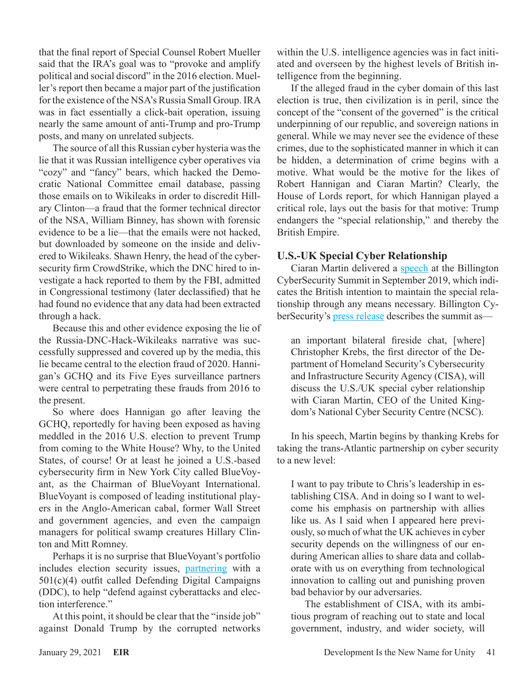that the final report of Special Counsel Robert Mueller said that the IRA's goal was to "provoke and amplify political and social discord" in the 2016 election. Mueller's report then became a major part of the justification for the existence of the NSA's Russia Small Group. IRA was in fact essentially a click-bait operation, issuing nearly the same amount of anti-Trump and pro-Trump posts, and many on unrelated subjects.

The source of all this Russian cyber hysteria was the lie that it was Russian intelligence cyber operatives via "cozy" and "fancy" bears, which hacked the Democratic National Committee email database, passing those emails on to Wikileaks in order to discredit Hillary Clinton—a fraud that the former technical director of the NSA, William Binney, has shown with forensic evidence to be a lie—that the emails were not hacked, but downloaded by someone on the inside and delivered to Wikileaks. Shawn Henry, the head of the cybersecurity firm CrowdStrike, which the DNC hired to investigate a hack reported to them by the FBI, admitted in Congressional testimony (later declassified) that he had found no evidence that any data had been extracted through a hack.

Because this and other evidence exposing the lie of the Russia-DNC-Hack-Wikileaks narrative was successfully suppressed and covered up by the media, this lie became central to the election fraud of 2020. Hannigan's GCHQ and its Five Eyes surveillance partners were central to perpetrating these frauds from 2016 to the present.

So where does Hannigan go after leaving the GCHQ, reportedly for having been exposed as having meddled in the 2016 U.S. election to prevent Trump from coming to the White House? Why, to the United States, of course! Or at least he joined a U.S.-based cybersecurity firm in New York City called BlueVoyant, as the Chairman of BlueVoyant International. BlueVoyant is composed of leading institutional players in the Anglo-American cabal, former Wall Street and government agencies, and even the campaign managers for political swamp creatures Hillary Clinton and Mitt Romney.

Perhaps it is no surprise that BlueVoyant's portfolio includes election security issues, [partnering](https://www.bluevoyant.com/bluevoyant-partners-with-defending-digital-campaigns) with a 501(c)(4) outfit called Defending Digital Campaigns (DDC), to help "defend against cyberattacks and election interference."

At this point, it should be clear that the "inside job" against Donald Trump by the corrupted networks within the U.S. intelligence agencies was in fact initiated and overseen by the highest levels of British intelligence from the beginning.

If the alleged fraud in the cyber domain of this last election is true, then civilization is in peril, since the concept of the "consent of the governed" is the critical underpinning of our republic, and sovereign nations in general. While we may never see the evidence of these crimes, due to the sophisticated manner in which it can be hidden, a determination of crime begins with a motive. What would be the motive for the likes of Robert Hannigan and Ciaran Martin? Clearly, the House of Lords report, for which Hannigan played a critical role, lays out the basis for that motive: Trump endangers the "special relationship," and thereby the British Empire.

### **U.S.-UK Special Cyber Relationship**

Ciaran Martin delivered a [speech](https://www.ncsc.gov.uk/speech/ciaran-martins-speech-at-billington-cyber-security-summit-2019) at the Billington CyberSecurity Summit in September 2019, which indicates the British intention to maintain the special relationship through any means necessary. Billington CyberSecurity's [press release](https://eprnews.com/dhs-cyber-chief-chris-krebs-and-new-nsa-cybersecurity-director-anne-neuberger-join-israel-and-uk-cyber-leaders-at-10th-annual-billington-cybersecurity-summit-421058/) describes the summit as—

an important bilateral fireside chat, [where] Christopher Krebs, the first director of the Department of Homeland Security's Cybersecurity and Infrastructure Security Agency (CISA), will discuss the U.S./UK special cyber relationship with Ciaran Martin, CEO of the United Kingdom's National Cyber Security Centre (NCSC).

In his speech, Martin begins by thanking Krebs for taking the trans-Atlantic partnership on cyber security to a new level:

I want to pay tribute to Chris's leadership in establishing CISA. And in doing so I want to welcome his emphasis on partnership with allies like us. As I said when I appeared here previously, so much of what the UK achieves in cyber security depends on the willingness of our enduring American allies to share data and collaborate with us on everything from technological innovation to calling out and punishing proven bad behavior by our adversaries.

The establishment of CISA, with its ambitious program of reaching out to state and local government, industry, and wider society, will